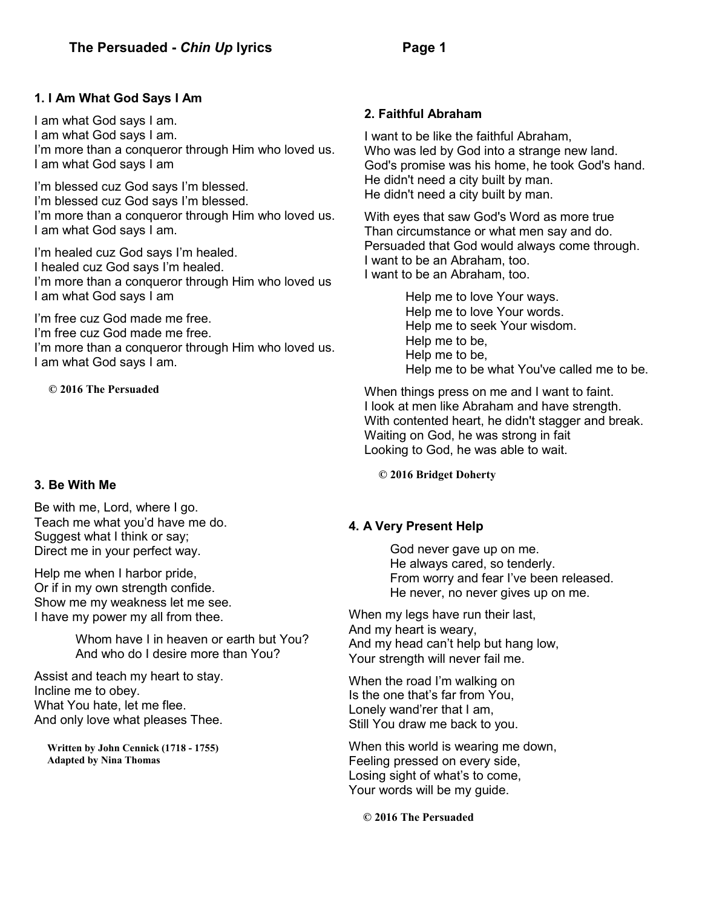# **1. I Am What God Says I Am**

I am what God says I am. I am what God says I am. I'm more than a conqueror through Him who loved us. I am what God says I am

I'm blessed cuz God says I'm blessed. I'm blessed cuz God says I'm blessed. I'm more than a conqueror through Him who loved us. I am what God says I am.

I'm healed cuz God says I'm healed. I healed cuz God says I'm healed. I'm more than a conqueror through Him who loved us I am what God says I am

I'm free cuz God made me free. I'm free cuz God made me free. I'm more than a conqueror through Him who loved us. I am what God says I am.

 **© 2016 The Persuaded** 

# **3. Be With Me**

Be with me, Lord, where I go. Teach me what you'd have me do. Suggest what I think or say; Direct me in your perfect way.

Help me when I harbor pride, Or if in my own strength confide. Show me my weakness let me see. I have my power my all from thee.

> Whom have I in heaven or earth but You? And who do I desire more than You?

Assist and teach my heart to stay. Incline me to obey. What You hate, let me flee. And only love what pleases Thee.

 **Written by John Cennick (1718 - 1755) Adapted by Nina Thomas** 

# **2. Faithful Abraham**

I want to be like the faithful Abraham, Who was led by God into a strange new land. God's promise was his home, he took God's hand. He didn't need a city built by man. He didn't need a city built by man.

With eyes that saw God's Word as more true Than circumstance or what men say and do. Persuaded that God would always come through. I want to be an Abraham, too. I want to be an Abraham, too.

> Help me to love Your ways. Help me to love Your words. Help me to seek Your wisdom. Help me to be, Help me to be, Help me to be what You've called me to be.

When things press on me and I want to faint. I look at men like Abraham and have strength. With contented heart, he didn't stagger and break. Waiting on God, he was strong in fait Looking to God, he was able to wait.

 **© 2016 Bridget Doherty** 

# **4. A Very Present Help**

God never gave up on me. He always cared, so tenderly. From worry and fear I've been released. He never, no never gives up on me.

When my legs have run their last, And my heart is weary, And my head can't help but hang low, Your strength will never fail me.

When the road I'm walking on Is the one that's far from You, Lonely wand'rer that I am, Still You draw me back to you.

When this world is wearing me down, Feeling pressed on every side, Losing sight of what's to come, Your words will be my guide.

 **© 2016 The Persuaded**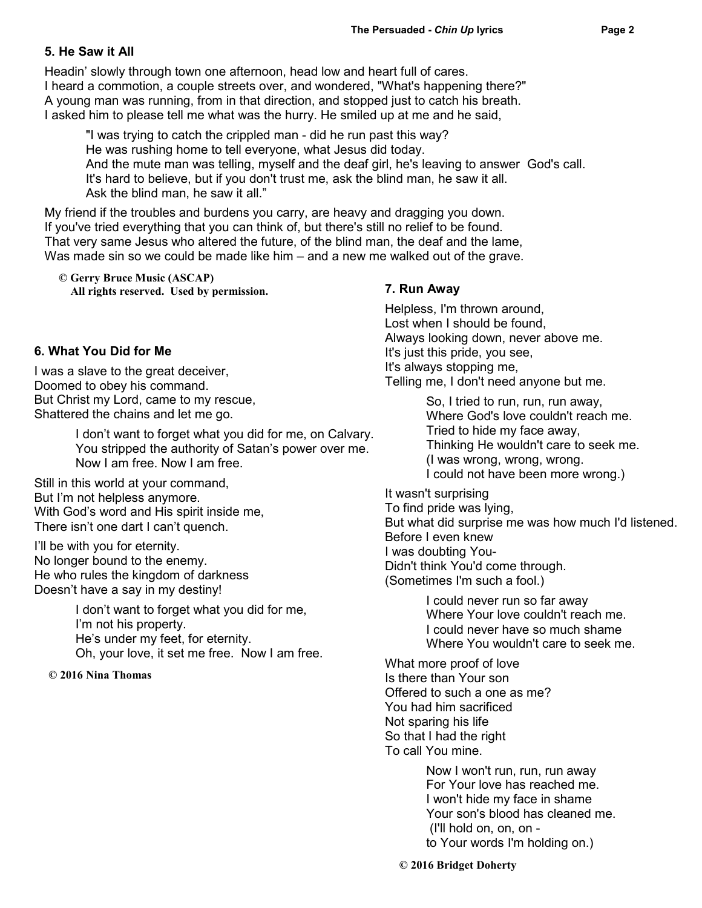### **5. He Saw it All**

Headin' slowly through town one afternoon, head low and heart full of cares. I heard a commotion, a couple streets over, and wondered, "What's happening there?" A young man was running, from in that direction, and stopped just to catch his breath. I asked him to please tell me what was the hurry. He smiled up at me and he said,

"I was trying to catch the crippled man - did he run past this way? He was rushing home to tell everyone, what Jesus did today. And the mute man was telling, myself and the deaf girl, he's leaving to answer God's call. It's hard to believe, but if you don't trust me, ask the blind man, he saw it all. Ask the blind man, he saw it all."

My friend if the troubles and burdens you carry, are heavy and dragging you down. If you've tried everything that you can think of, but there's still no relief to be found. That very same Jesus who altered the future, of the blind man, the deaf and the lame, Was made sin so we could be made like him – and a new me walked out of the grave.

 **© Gerry Bruce Music (ASCAP) All rights reserved. Used by permission.** 

#### **6. What You Did for Me**

I was a slave to the great deceiver, Doomed to obey his command. But Christ my Lord, came to my rescue, Shattered the chains and let me go.

> I don't want to forget what you did for me, on Calvary. You stripped the authority of Satan's power over me. Now I am free. Now I am free.

Still in this world at your command, But I'm not helpless anymore. With God's word and His spirit inside me, There isn't one dart I can't quench.

I'll be with you for eternity. No longer bound to the enemy. He who rules the kingdom of darkness Doesn't have a say in my destiny!

> I don't want to forget what you did for me, I'm not his property. He's under my feet, for eternity. Oh, your love, it set me free. Now I am free.

 **© 2016 Nina Thomas** 

#### **7. Run Away**

Helpless, I'm thrown around, Lost when I should be found. Always looking down, never above me. It's just this pride, you see, It's always stopping me, Telling me, I don't need anyone but me.

> So, I tried to run, run, run away, Where God's love couldn't reach me. Tried to hide my face away, Thinking He wouldn't care to seek me. (I was wrong, wrong, wrong. I could not have been more wrong.)

It wasn't surprising To find pride was lying, But what did surprise me was how much I'd listened. Before I even knew I was doubting You-Didn't think You'd come through. (Sometimes I'm such a fool.)

> I could never run so far away Where Your love couldn't reach me. I could never have so much shame Where You wouldn't care to seek me.

What more proof of love Is there than Your son Offered to such a one as me? You had him sacrificed Not sparing his life So that I had the right To call You mine.

> Now I won't run, run, run away For Your love has reached me. I won't hide my face in shame Your son's blood has cleaned me. (I'll hold on, on, on to Your words I'm holding on.)

 **© 2016 Bridget Doherty**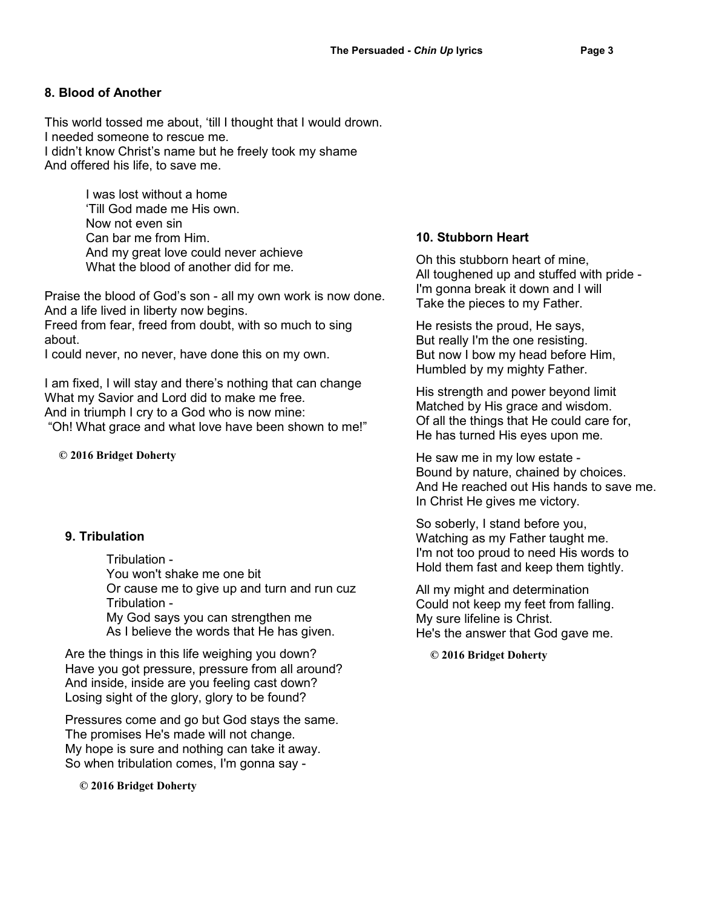### **8. Blood of Another**

This world tossed me about, 'till I thought that I would drown. I needed someone to rescue me. I didn't know Christ's name but he freely took my shame And offered his life, to save me.

> I was lost without a home 'Till God made me His own. Now not even sin Can bar me from Him. And my great love could never achieve What the blood of another did for me.

Praise the blood of God's son - all my own work is now done. And a life lived in liberty now begins. Freed from fear, freed from doubt, with so much to sing

about.

I could never, no never, have done this on my own.

I am fixed, I will stay and there's nothing that can change What my Savior and Lord did to make me free. And in triumph I cry to a God who is now mine: "Oh! What grace and what love have been shown to me!"

 **© 2016 Bridget Doherty**

#### **9. Tribulation**

Tribulation - You won't shake me one bit Or cause me to give up and turn and run cuz Tribulation - My God says you can strengthen me As I believe the words that He has given.

Are the things in this life weighing you down? Have you got pressure, pressure from all around? And inside, inside are you feeling cast down? Losing sight of the glory, glory to be found?

Pressures come and go but God stays the same. The promises He's made will not change. My hope is sure and nothing can take it away. So when tribulation comes, I'm gonna say -

#### **© 2016 Bridget Doherty**

### **10. Stubborn Heart**

Oh this stubborn heart of mine, All toughened up and stuffed with pride - I'm gonna break it down and I will Take the pieces to my Father.

He resists the proud, He says, But really I'm the one resisting. But now I bow my head before Him, Humbled by my mighty Father.

His strength and power beyond limit Matched by His grace and wisdom. Of all the things that He could care for, He has turned His eyes upon me.

He saw me in my low estate - Bound by nature, chained by choices. And He reached out His hands to save me. In Christ He gives me victory.

So soberly, I stand before you, Watching as my Father taught me. I'm not too proud to need His words to Hold them fast and keep them tightly.

All my might and determination Could not keep my feet from falling. My sure lifeline is Christ. He's the answer that God gave me.

 **© 2016 Bridget Doherty**